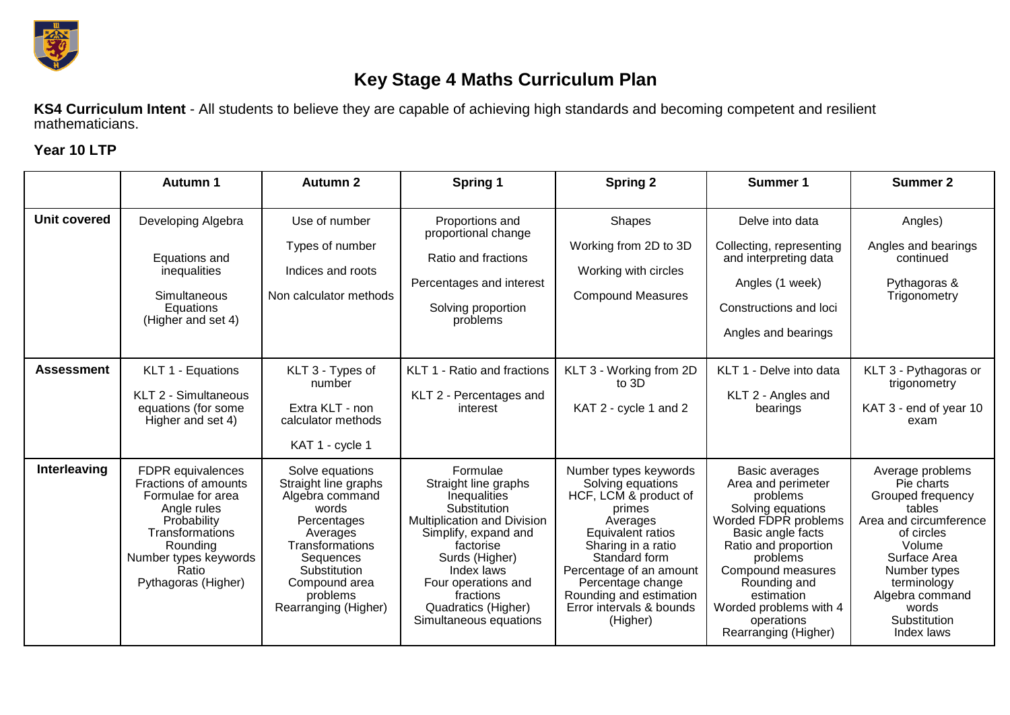

## **Key Stage 4 Maths Curriculum Plan**

**KS4 Curriculum Intent** - All students to believe they are capable of achieving high standards and becoming competent and resilient mathematicians.

## **Year 10 LTP**

|                     | <b>Autumn 1</b>                                                                                                                                                                      | <b>Autumn 2</b>                                                                                                                                                                                     | Spring 1                                                                                                                                                                                                                                                  | <b>Spring 2</b>                                                                                                                                                                                                                                                          | Summer 1                                                                                                                                                                                                                                                                  | <b>Summer 2</b>                                                                                                                                                                                                          |
|---------------------|--------------------------------------------------------------------------------------------------------------------------------------------------------------------------------------|-----------------------------------------------------------------------------------------------------------------------------------------------------------------------------------------------------|-----------------------------------------------------------------------------------------------------------------------------------------------------------------------------------------------------------------------------------------------------------|--------------------------------------------------------------------------------------------------------------------------------------------------------------------------------------------------------------------------------------------------------------------------|---------------------------------------------------------------------------------------------------------------------------------------------------------------------------------------------------------------------------------------------------------------------------|--------------------------------------------------------------------------------------------------------------------------------------------------------------------------------------------------------------------------|
| <b>Unit covered</b> | Developing Algebra<br>Equations and<br>inequalities<br>Simultaneous<br>Equations<br>(Higher and set 4)                                                                               | Use of number<br>Types of number<br>Indices and roots<br>Non calculator methods                                                                                                                     | Proportions and<br>proportional change<br>Ratio and fractions<br>Percentages and interest<br>Solving proportion<br>problems                                                                                                                               | <b>Shapes</b><br>Working from 2D to 3D<br>Working with circles<br><b>Compound Measures</b>                                                                                                                                                                               | Delve into data<br>Collecting, representing<br>and interpreting data<br>Angles (1 week)<br>Constructions and loci<br>Angles and bearings                                                                                                                                  | Angles)<br>Angles and bearings<br>continued<br>Pythagoras &<br>Trigonometry                                                                                                                                              |
| <b>Assessment</b>   | KLT 1 - Equations<br>KLT 2 - Simultaneous<br>equations (for some<br>Higher and set 4)                                                                                                | KLT 3 - Types of<br>number<br>Extra KLT - non<br>calculator methods<br>KAT 1 - cycle 1                                                                                                              | KLT 1 - Ratio and fractions<br>KLT 2 - Percentages and<br>interest                                                                                                                                                                                        | KLT 3 - Working from 2D<br>to 3D<br>KAT 2 - cycle 1 and 2                                                                                                                                                                                                                | KLT 1 - Delve into data<br>KLT 2 - Angles and<br>bearings                                                                                                                                                                                                                 | KLT 3 - Pythagoras or<br>trigonometry<br>KAT 3 - end of year 10<br>exam                                                                                                                                                  |
| Interleaving        | FDPR equivalences<br>Fractions of amounts<br>Formulae for area<br>Angle rules<br>Probability<br>Transformations<br>Rounding<br>Number types keywords<br>Ratio<br>Pythagoras (Higher) | Solve equations<br>Straight line graphs<br>Algebra command<br>words<br>Percentages<br>Averages<br>Transformations<br>Sequences<br>Substitution<br>Compound area<br>problems<br>Rearranging (Higher) | Formulae<br>Straight line graphs<br>Inequalities<br>Substitution<br>Multiplication and Division<br>Simplify, expand and<br>factorise<br>Surds (Higher)<br>Index laws<br>Four operations and<br>fractions<br>Quadratics (Higher)<br>Simultaneous equations | Number types keywords<br>Solving equations<br>HCF, LCM & product of<br>primes<br>Averages<br>Equivalent ratios<br>Sharing in a ratio<br>Standard form<br>Percentage of an amount<br>Percentage change<br>Rounding and estimation<br>Error intervals & bounds<br>(Higher) | Basic averages<br>Area and perimeter<br>problems<br>Solving equations<br>Worded FDPR problems<br>Basic angle facts<br>Ratio and proportion<br>problems<br>Compound measures<br>Rounding and<br>estimation<br>Worded problems with 4<br>operations<br>Rearranging (Higher) | Average problems<br>Pie charts<br>Grouped frequency<br>tables<br>Area and circumference<br>of circles<br>Volume<br>Surface Area<br>Number types<br>terminology<br>Algebra command<br>words<br>Substitution<br>Index laws |